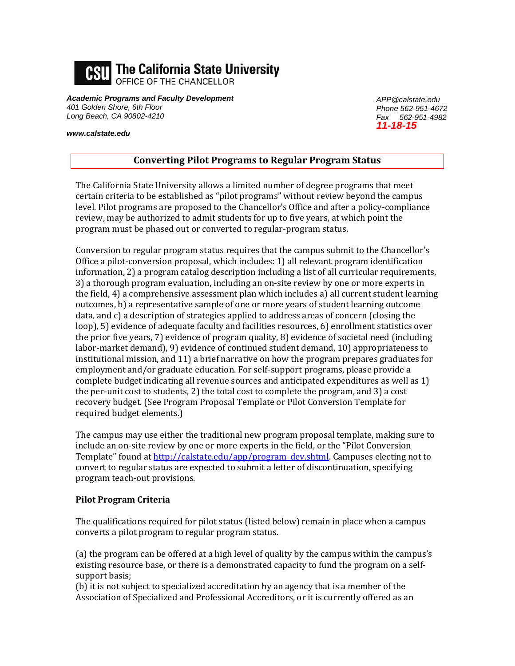

*Academic Programs and Faculty Development 401 Golden Shore, 6th Floor Long Beach, CA 90802-4210*

*www.calstate.edu*

*APP@calstate.edu Phone 562-951-4672 Fax 562-951-4982 11-18-15*

## **Converting Pilot Programs to Regular Program Status**

The California State University allows a limited number of degree programs that meet certain criteria to be established as "pilot programs" without review beyond the campus level. Pilot programs are proposed to the Chancellor's Office and after a policy-compliance review, may be authorized to admit students for up to five years, at which point the program must be phased out or converted to regular-program status.

Conversion to regular program status requires that the campus submit to the Chancellor's Office a pilot-conversion proposal, which includes: 1) all relevant program identification information, 2) a program catalog description including a list of all curricular requirements, 3) a thorough program evaluation, including an on-site review by one or more experts in the field, 4) a comprehensive assessment plan which includes a) all current student learning outcomes, b) a representative sample of one or more years of student learning outcome data, and c) a description of strategies applied to address areas of concern (closing the loop), 5) evidence of adequate faculty and facilities resources, 6) enrollment statistics over the prior five years, 7) evidence of program quality, 8) evidence of societal need (including labor-market demand), 9) evidence of continued student demand, 10) appropriateness to institutional mission, and 11) a brief narrative on how the program prepares graduates for employment and/or graduate education. For self-support programs, please provide a complete budget indicating all revenue sources and anticipated expenditures as well as 1) the per-unit cost to students, 2) the total cost to complete the program, and 3) a cost recovery budget. (See Program Proposal Template or Pilot Conversion Template for required budget elements.)

The campus may use either the traditional new program proposal template, making sure to include an on-site review by one or more experts in the field, or the "Pilot Conversion Template" found a[t http://calstate.edu/app/program\\_dev.shtml.](http://calstate.edu/app/program_dev.shtml) Campuses electing not to convert to regular status are expected to submit a letter of discontinuation, specifying program teach-out provisions.

## **Pilot Program Criteria**

The qualifications required for pilot status (listed below) remain in place when a campus converts a pilot program to regular program status.

(a) the program can be offered at a high level of quality by the campus within the campus's existing resource base, or there is a demonstrated capacity to fund the program on a selfsupport basis;

(b) it is not subject to specialized accreditation by an agency that is a member of the Association of Specialized and Professional Accreditors, or it is currently offered as an